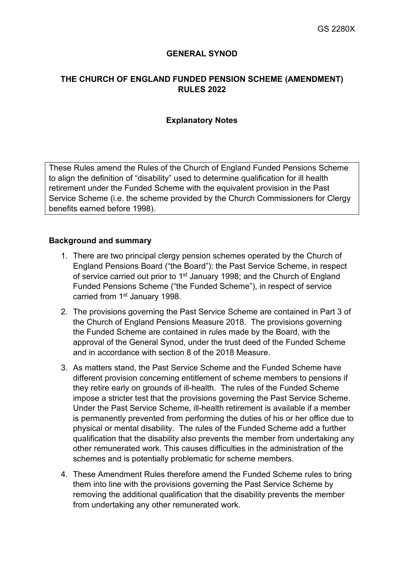## **GENERAL SYNOD**

## **THE CHURCH OF ENGLAND FUNDED PENSION SCHEME (AMENDMENT) RULES 2022**

#### **Explanatory Notes**

These Rules amend the Rules of the Church of England Funded Pensions Scheme to align the definition of "disability" used to determine qualification for ill health retirement under the Funded Scheme with the equivalent provision in the Past Service Scheme (i.e. the scheme provided by the Church Commissioners for Clergy benefits earned before 1998).

### **Background and summary**

- 1. There are two principal clergy pension schemes operated by the Church of England Pensions Board ("the Board"): the Past Service Scheme, in respect of service carried out prior to 1<sup>st</sup> January 1998; and the Church of England Funded Pensions Scheme ("the Funded Scheme"), in respect of service carried from 1<sup>st</sup> January 1998.
- 2. The provisions governing the Past Service Scheme are contained in Part 3 of the Church of England Pensions Measure 2018. The provisions governing the Funded Scheme are contained in rules made by the Board, with the approval of the General Synod, under the trust deed of the Funded Scheme and in accordance with section 8 of the 2018 Measure.
- 3. As matters stand, the Past Service Scheme and the Funded Scheme have different provision concerning entitlement of scheme members to pensions if they retire early on grounds of ill-health. The rules of the Funded Scheme impose a stricter test that the provisions governing the Past Service Scheme. Under the Past Service Scheme, ill-health retirement is available if a member is permanently prevented from performing the duties of his or her office due to physical or mental disability. The rules of the Funded Scheme add a further qualification that the disability also prevents the member from undertaking any other remunerated work. This causes difficulties in the administration of the schemes and is potentially problematic for scheme members.
- 4. These Amendment Rules therefore amend the Funded Scheme rules to bring them into line with the provisions governing the Past Service Scheme by removing the additional qualification that the disability prevents the member from undertaking any other remunerated work.